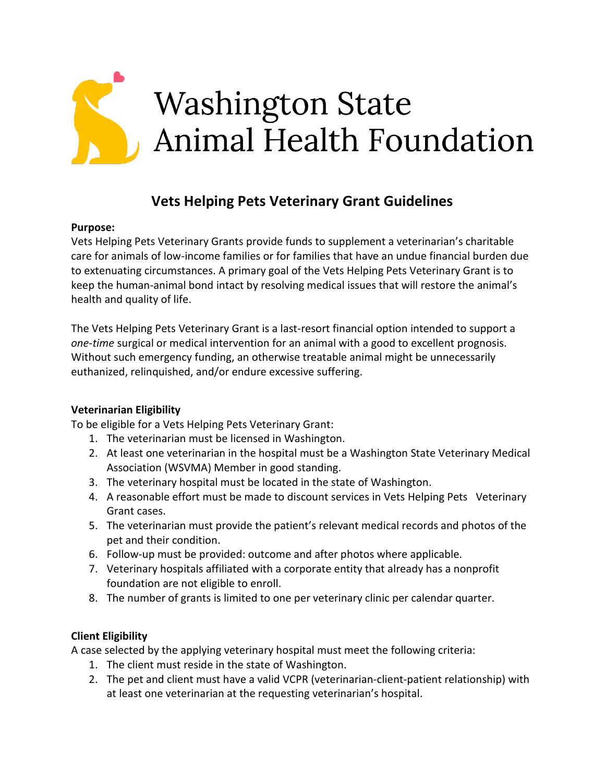

# **Vets Helping Pets Veterinary Grant Guidelines**

#### **Purpose:**

Vets Helping Pets Veterinary Grants provide funds to supplement a veterinarian's charitable care for animals of low-income families or for families that have an undue financial burden due to extenuating circumstances. A primary goal of the Vets Helping Pets Veterinary Grant is to keep the human-animal bond intact by resolving medical issues that will restore the animal's health and quality of life.

The Vets Helping Pets Veterinary Grant is a last-resort financial option intended to support a *one-time* surgical or medical intervention for an animal with a good to excellent prognosis. Without such emergency funding, an otherwise treatable animal might be unnecessarily euthanized, relinquished, and/or endure excessive suffering.

#### **Veterinarian Eligibility**

To be eligible for a Vets Helping Pets Veterinary Grant:

- 1. The veterinarian must be licensed in Washington.
- 2. At least one veterinarian in the hospital must be a Washington State Veterinary Medical Association (WSVMA) Member in good standing.
- 3. The veterinary hospital must be located in the state of Washington.
- 4. A reasonable effort must be made to discount services in Vets Helping Pets Veterinary Grant cases.
- 5. The veterinarian must provide the patient's relevant medical records and photos of the pet and their condition.
- 6. Follow-up must be provided: outcome and after photos where applicable.
- 7. Veterinary hospitals affiliated with a corporate entity that already has a nonprofit foundation are not eligible to enroll.
- 8. The number of grants is limited to one per veterinary clinic per calendar quarter.

#### **Client Eligibility**

A case selected by the applying veterinary hospital must meet the following criteria:

- 1. The client must reside in the state of Washington.
- 2. The pet and client must have a valid VCPR (veterinarian-client-patient relationship) with at least one veterinarian at the requesting veterinarian's hospital.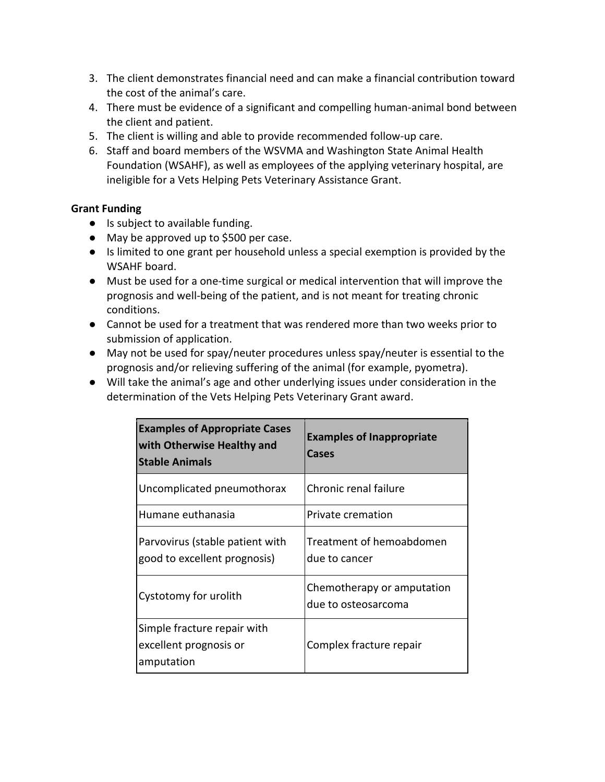- 3. The client demonstrates financial need and can make a financial contribution toward the cost of the animal's care.
- 4. There must be evidence of a significant and compelling human-animal bond between the client and patient.
- 5. The client is willing and able to provide recommended follow-up care.
- 6. Staff and board members of the WSVMA and Washington State Animal Health Foundation (WSAHF), as well as employees of the applying veterinary hospital, are ineligible for a Vets Helping Pets Veterinary Assistance Grant.

### **Grant Funding**

- Is subject to available funding.
- May be approved up to \$500 per case.
- Is limited to one grant per household unless a special exemption is provided by the WSAHF board.
- Must be used for a one-time surgical or medical intervention that will improve the prognosis and well-being of the patient, and is not meant for treating chronic conditions.
- Cannot be used for a treatment that was rendered more than two weeks prior to submission of application.
- May not be used for spay/neuter procedures unless spay/neuter is essential to the prognosis and/or relieving suffering of the animal (for example, pyometra).
- Will take the animal's age and other underlying issues under consideration in the determination of the Vets Helping Pets Veterinary Grant award.

| <b>Examples of Appropriate Cases</b><br>with Otherwise Healthy and<br><b>Stable Animals</b> | <b>Examples of Inappropriate</b><br>Cases         |
|---------------------------------------------------------------------------------------------|---------------------------------------------------|
| Uncomplicated pneumothorax                                                                  | Chronic renal failure                             |
| Humane euthanasia                                                                           | Private cremation                                 |
| Parvovirus (stable patient with<br>good to excellent prognosis)                             | Treatment of hemoabdomen<br>due to cancer         |
| Cystotomy for urolith                                                                       | Chemotherapy or amputation<br>due to osteosarcoma |
| Simple fracture repair with<br>excellent prognosis or<br>amputation                         | Complex fracture repair                           |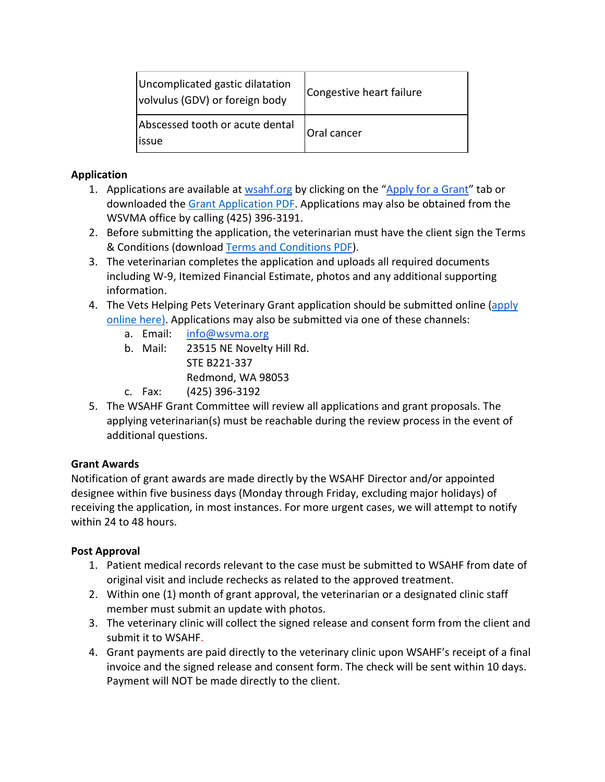| Uncomplicated gastic dilatation<br>volvulus (GDV) or foreign body | Congestive heart failure |
|-------------------------------------------------------------------|--------------------------|
| Abscessed tooth or acute dental<br>issue                          | Oral cancer              |

### **Application**

- 1. Applications are available a[t wsahf.org](https://wsahf.org/) by clicking on the ["Apply for a Grant"](https://wsahf.org/vets-helping-pets/) tab or downloaded th[e Grant Application PDF.](https://wsahf.org/wp-content/uploads/2022/01/VHP-Grant-Application.pdf) Applications may also be obtained from the WSVMA office by calling (425) 396-3191.
- 2. Before submitting the application, the veterinarian must have the client sign the Terms & Conditions (download [Terms and Conditions PDF\)](https://wsahf.org/wp-content/uploads/2022/01/VHP-Grant-Application-Terms-and-Consent-for-Pet-Owners.pdf).
- 3. The veterinarian completes the application and uploads all required documents including W-9, Itemized Financial Estimate, photos and any additional supporting information.
- 4. The Vets Helping Pets Veterinary Grant application should be submitted online (apply [online here\).](https://wsahf.org/grant-application/) Applications may also be submitted via one of these channels:
	- a. Email: info@wsvma.org
	- b. Mail: 23515 NE Novelty Hill Rd. STE B221-337 Redmond, WA 98053
	- c. Fax: (425) 396-3192
- 5. The WSAHF Grant Committee will review all applications and grant proposals. The applying veterinarian(s) must be reachable during the review process in the event of additional questions.

# **Grant Awards**

Notification of grant awards are made directly by the WSAHF Director and/or appointed designee within five business days (Monday through Friday, excluding major holidays) of receiving the application, in most instances. For more urgent cases, we will attempt to notify within 24 to 48 hours.

# **Post Approval**

- 1. Patient medical records relevant to the case must be submitted to WSAHF from date of original visit and include rechecks as related to the approved treatment.
- 2. Within one (1) month of grant approval, the veterinarian or a designated clinic staff member must submit an update with photos.
- 3. The veterinary clinic will collect the signed release and consent form from the client and submit it to WSAHF.
- 4. Grant payments are paid directly to the veterinary clinic upon WSAHF's receipt of a final invoice and the signed release and consent form. The check will be sent within 10 days. Payment will NOT be made directly to the client.